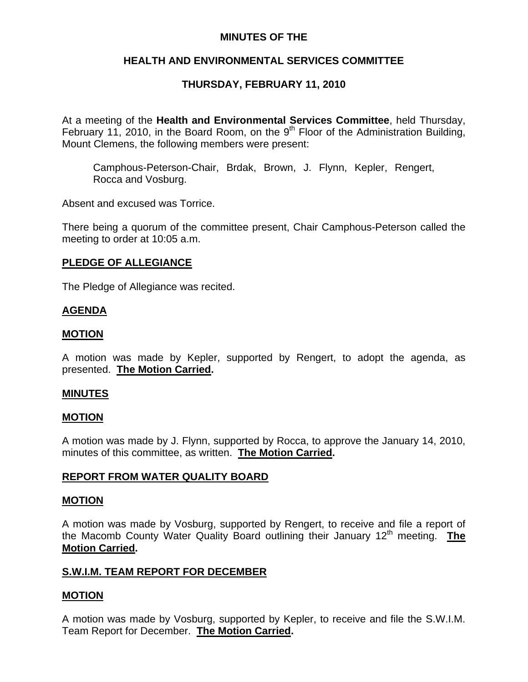# **MINUTES OF THE**

# **HEALTH AND ENVIRONMENTAL SERVICES COMMITTEE**

# **THURSDAY, FEBRUARY 11, 2010**

At a meeting of the **Health and Environmental Services Committee**, held Thursday, February 11, 2010, in the Board Room, on the  $9<sup>th</sup>$  Floor of the Administration Building, Mount Clemens, the following members were present:

Camphous-Peterson-Chair, Brdak, Brown, J. Flynn, Kepler, Rengert, Rocca and Vosburg.

Absent and excused was Torrice.

There being a quorum of the committee present, Chair Camphous-Peterson called the meeting to order at 10:05 a.m.

## **PLEDGE OF ALLEGIANCE**

The Pledge of Allegiance was recited.

## **AGENDA**

## **MOTION**

A motion was made by Kepler, supported by Rengert, to adopt the agenda, as presented. **The Motion Carried.** 

## **MINUTES**

## **MOTION**

A motion was made by J. Flynn, supported by Rocca, to approve the January 14, 2010, minutes of this committee, as written. **The Motion Carried.** 

## **REPORT FROM WATER QUALITY BOARD**

#### **MOTION**

A motion was made by Vosburg, supported by Rengert, to receive and file a report of the Macomb County Water Quality Board outlining their January 12<sup>th</sup> meeting. **The Motion Carried.** 

# **S.W.I.M. TEAM REPORT FOR DECEMBER**

## **MOTION**

A motion was made by Vosburg, supported by Kepler, to receive and file the S.W.I.M. Team Report for December. **The Motion Carried.**